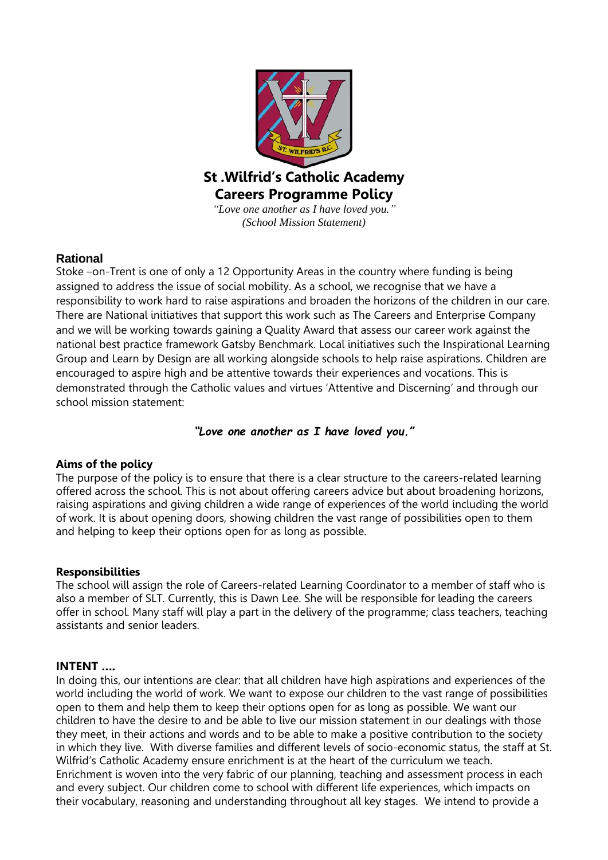

# **Rational**

Stoke –on-Trent is one of only a 12 Opportunity Areas in the country where funding is being assigned to address the issue of social mobility. As a school, we recognise that we have a responsibility to work hard to raise aspirations and broaden the horizons of the children in our care. There are National initiatives that support this work such as The Careers and Enterprise Company and we will be working towards gaining a Quality Award that assess our career work against the national best practice framework Gatsby Benchmark. Local initiatives such the Inspirational Learning Group and Learn by Design are all working alongside schools to help raise aspirations. Children are encouraged to aspire high and be attentive towards their experiences and vocations. This is demonstrated through the Catholic values and virtues 'Attentive and Discerning' and through our school mission statement:

## *"Love one another as I have loved you."*

## **Aims of the policy**

The purpose of the policy is to ensure that there is a clear structure to the careers-related learning offered across the school. This is not about offering careers advice but about broadening horizons, raising aspirations and giving children a wide range of experiences of the world including the world of work. It is about opening doors, showing children the vast range of possibilities open to them and helping to keep their options open for as long as possible.

#### **Responsibilities**

The school will assign the role of Careers-related Learning Coordinator to a member of staff who is also a member of SLT. Currently, this is Dawn Lee. She will be responsible for leading the careers offer in school. Many staff will play a part in the delivery of the programme; class teachers, teaching assistants and senior leaders.

### **INTENT ….**

In doing this, our intentions are clear: that all children have high aspirations and experiences of the world including the world of work. We want to expose our children to the vast range of possibilities open to them and help them to keep their options open for as long as possible. We want our children to have the desire to and be able to live our mission statement in our dealings with those they meet, in their actions and words and to be able to make a positive contribution to the society in which they live. With diverse families and different levels of socio-economic status, the staff at St. Wilfrid's Catholic Academy ensure enrichment is at the heart of the curriculum we teach. Enrichment is woven into the very fabric of our planning, teaching and assessment process in each and every subject. Our children come to school with different life experiences, which impacts on their vocabulary, reasoning and understanding throughout all key stages. We intend to provide a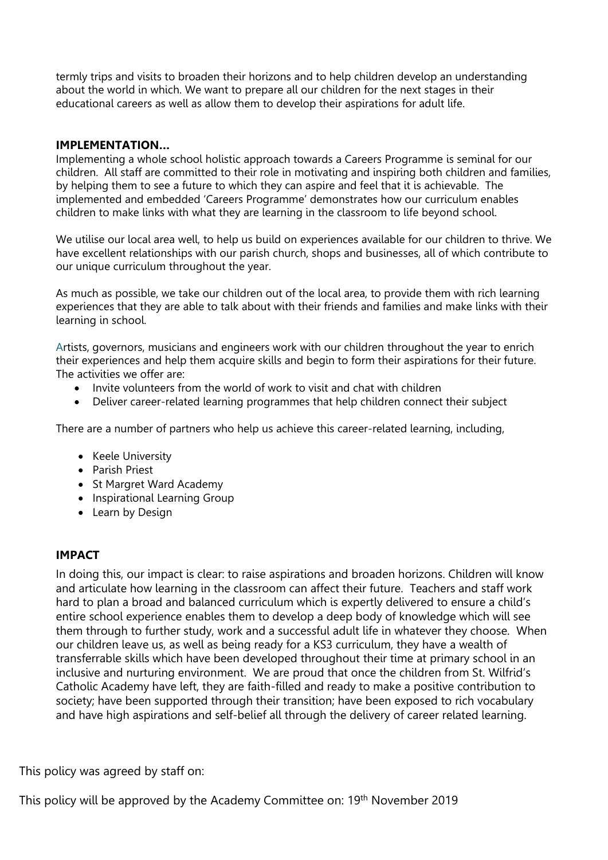termly trips and visits to broaden their horizons and to help children develop an understanding about the world in which. We want to prepare all our children for the next stages in their educational careers as well as allow them to develop their aspirations for adult life.

### **IMPLEMENTATION…**

Implementing a whole school holistic approach towards a Careers Programme is seminal for our children. All staff are committed to their role in motivating and inspiring both children and families, by helping them to see a future to which they can aspire and feel that it is achievable. The implemented and embedded 'Careers Programme' demonstrates how our curriculum enables children to make links with what they are learning in the classroom to life beyond school.

We utilise our local area well, to help us build on experiences available for our children to thrive. We have excellent relationships with our parish church, shops and businesses, all of which contribute to our unique curriculum throughout the year.

As much as possible, we take our children out of the local area, to provide them with rich learning experiences that they are able to talk about with their friends and families and make links with their learning in school.

Artists, governors, musicians and engineers work with our children throughout the year to enrich their experiences and help them acquire skills and begin to form their aspirations for their future. The activities we offer are:

- Invite volunteers from the world of work to visit and chat with children
- Deliver career-related learning programmes that help children connect their subject

There are a number of partners who help us achieve this career-related learning, including,

- Keele University
- Parish Priest
- St Margret Ward Academy
- Inspirational Learning Group
- Learn by Design

## **IMPACT**

In doing this, our impact is clear: to raise aspirations and broaden horizons. Children will know and articulate how learning in the classroom can affect their future. Teachers and staff work hard to plan a broad and balanced curriculum which is expertly delivered to ensure a child's entire school experience enables them to develop a deep body of knowledge which will see them through to further study, work and a successful adult life in whatever they choose. When our children leave us, as well as being ready for a KS3 curriculum, they have a wealth of transferrable skills which have been developed throughout their time at primary school in an inclusive and nurturing environment. We are proud that once the children from St. Wilfrid's Catholic Academy have left, they are faith-filled and ready to make a positive contribution to society; have been supported through their transition; have been exposed to rich vocabulary and have high aspirations and self-belief all through the delivery of career related learning.

This policy was agreed by staff on:

This policy will be approved by the Academy Committee on: 19th November 2019